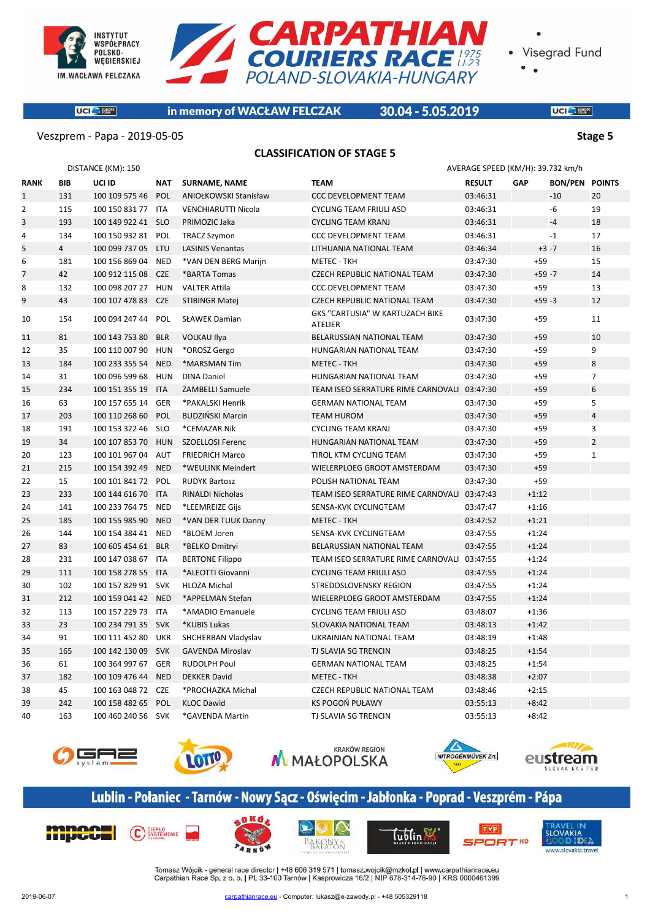



#### **UCI** EUROPE

#### in memory of WACŁAW FELCZAK

#### 30.04 - 5.05.2019

**UCI** SERVICE

#### Veszprem - Papa - 2019-05-05 **Stage 5**

#### **CLASSIFICATION OF STAGE 5**

|                | DISTANCE (KM): 150 |                    |            |                         |                                                   |               | AVERAGE SPEED (KM/H): 39.732 km/h |                |                |
|----------------|--------------------|--------------------|------------|-------------------------|---------------------------------------------------|---------------|-----------------------------------|----------------|----------------|
| <b>RANK</b>    | BIB                | UCI ID             | <b>NAT</b> | <b>SURNAME, NAME</b>    | TEAM                                              | <b>RESULT</b> | <b>GAP</b>                        | <b>BON/PEN</b> | <b>POINTS</b>  |
| $\mathbf 1$    | 131                | 100 109 575 46     | POL        | ANIOŁKOWSKI Stanisław   | CCC DEVELOPMENT TEAM                              | 03:46:31      |                                   | $-10$          | 20             |
| $\overline{2}$ | 115                | 100 150 831 77 ITA |            | VENCHIARUTTI Nicola     | <b>CYCLING TEAM FRIULI ASD</b>                    | 03:46:31      |                                   | -6             | 19             |
| 3              | 193                | 100 149 922 41 SLO |            | PRIMOZIC Jaka           | <b>CYCLING TEAM KRANJ</b>                         | 03:46:31      |                                   | $-4$           | 18             |
| 4              | 134                | 100 150 932 81 POL |            | <b>TRACZ Szymon</b>     | <b>CCC DEVELOPMENT TEAM</b>                       | 03:46:31      |                                   | $-1$           | 17             |
| 5              | $\overline{4}$     | 100 099 737 05 LTU |            | <b>LASINIS Venantas</b> | LITHUANIA NATIONAL TEAM                           | 03:46:34      |                                   | $+3 - 7$       | 16             |
| 6              | 181                | 100 156 869 04 NED |            | *VAN DEN BERG Marijn    | <b>METEC - TKH</b>                                | 03:47:30      | $+59$                             |                | 15             |
| $\overline{7}$ | 42                 | 100 912 115 08 CZE |            | *BARTA Tomas            | CZECH REPUBLIC NATIONAL TEAM                      | 03:47:30      | $+59 - 7$                         |                | 14             |
| 8              | 132                | 100 098 207 27 HUN |            | <b>VALTER Attila</b>    | <b>CCC DEVELOPMENT TEAM</b>                       | 03:47:30      | $+59$                             |                | 13             |
| 9              | 43                 | 100 107 478 83 CZE |            | <b>STIBINGR Matej</b>   | <b>CZECH REPUBLIC NATIONAL TEAM</b>               | 03:47:30      | $+59 - 3$                         |                | 12             |
| 10             | 154                | 100 094 247 44 POL |            | <b>SŁAWEK Damian</b>    | GKS "CARTUSIA" W KARTUZACH BIKE<br><b>ATELIER</b> | 03:47:30      | $+59$                             |                | 11             |
| 11             | 81                 | 100 143 753 80 BLR |            | <b>VOLKAU Ilya</b>      | BELARUSSIAN NATIONAL TEAM                         | 03:47:30      | $+59$                             |                | 10             |
| 12             | 35                 | 100 110 007 90     | HUN        | *OROSZ Gergo            | HUNGARIAN NATIONAL TEAM                           | 03:47:30      | $+59$                             |                | 9              |
| 13             | 184                | 100 233 355 54 NED |            | *MARSMAN Tim            | <b>METEC - TKH</b>                                | 03:47:30      | $+59$                             |                | 8              |
| 14             | 31                 | 100 096 599 68 HUN |            | <b>DINA Daniel</b>      | HUNGARIAN NATIONAL TEAM                           | 03:47:30      | $+59$                             |                | $\overline{7}$ |
| 15             | 234                | 100 151 355 19 ITA |            | ZAMBELLI Samuele        | TEAM ISEO SERRATURE RIME CARNOVALI 03:47:30       |               | $+59$                             |                | 6              |
| 16             | 63                 | 100 157 655 14 GER |            | *PAKALSKI Henrik        | <b>GERMAN NATIONAL TEAM</b>                       | 03:47:30      | $+59$                             |                | 5              |
| 17             | 203                | 100 110 268 60 POL |            | <b>BUDZIŃSKI Marcin</b> | <b>TEAM HUROM</b>                                 | 03:47:30      | $+59$                             |                | $\overline{4}$ |
| 18             | 191                | 100 153 322 46 SLO |            | *CEMAZAR Nik            | <b>CYCLING TEAM KRANJ</b>                         | 03:47:30      | $+59$                             |                | 3              |
| 19             | 34                 | 100 107 853 70 HUN |            | <b>SZOELLOSI Ferenc</b> | HUNGARIAN NATIONAL TEAM                           | 03:47:30      | $+59$                             |                | $\overline{2}$ |
| 20             | 123                | 100 101 967 04 AUT |            | <b>FRIEDRICH Marco</b>  | TIROL KTM CYCLING TEAM                            | 03:47:30      | $+59$                             |                | $\mathbf{1}$   |
| 21             | 215                | 100 154 392 49 NED |            | *WEULINK Meindert       | WIELERPLOEG GROOT AMSTERDAM                       | 03:47:30      | $+59$                             |                |                |
| 22             | 15                 | 100 101 841 72 POL |            | <b>RUDYK Bartosz</b>    | POLISH NATIONAL TEAM                              | 03:47:30      | $+59$                             |                |                |
| 23             | 233                | 100 144 616 70 ITA |            | <b>RINALDI Nicholas</b> | TEAM ISEO SERRATURE RIME CARNOVALI 03:47:43       |               | $+1:12$                           |                |                |
| 24             | 141                | 100 233 764 75 NED |            | *LEEMREIZE Gijs         | SENSA-KVK CYCLINGTEAM                             | 03:47:47      | $+1:16$                           |                |                |
| 25             | 185                | 100 155 985 90 NED |            | *VAN DER TUUK Danny     | <b>METEC - TKH</b>                                | 03:47:52      | $+1:21$                           |                |                |
| 26             | 144                | 100 154 384 41 NED |            | *BLOEM Joren            | SENSA-KVK CYCLINGTEAM                             | 03:47:55      | $+1:24$                           |                |                |
| 27             | 83                 | 100 605 454 61 BLR |            | *BELKO Dmitryi          | BELARUSSIAN NATIONAL TEAM                         | 03:47:55      | $+1:24$                           |                |                |
| 28             | 231                | 100 147 038 67 ITA |            | <b>BERTONE Filippo</b>  | TEAM ISEO SERRATURE RIME CARNOVALI 03:47:55       |               | $+1:24$                           |                |                |
| 29             | 111                | 100 158 278 55 ITA |            | *ALEOTTI Giovanni       | <b>CYCLING TEAM FRIULI ASD</b>                    | 03:47:55      | $+1:24$                           |                |                |
| 30             | 102                | 100 157 829 91 SVK |            | <b>HLOZA Michal</b>     | STREDOSLOVENSKY REGION                            | 03:47:55      | $+1:24$                           |                |                |
| 31             | 212                | 100 159 041 42 NED |            | *APPELMAN Stefan        | WIELERPLOEG GROOT AMSTERDAM                       | 03:47:55      | $+1:24$                           |                |                |
| 32             | 113                | 100 157 229 73 ITA |            | *AMADIO Emanuele        | <b>CYCLING TEAM FRIULI ASD</b>                    | 03:48:07      | $+1:36$                           |                |                |
| 33             | 23                 | 100 234 791 35 SVK |            | *KUBIS Lukas            | SLOVAKIA NATIONAL TEAM                            | 03:48:13      | $+1:42$                           |                |                |
| 34             | 91                 | 100 111 452 80 UKR |            | SHCHERBAN Vladyslav     | UKRAINIAN NATIONAL TEAM                           | 03:48:19      | $+1:48$                           |                |                |
| 35             | 165                | 100 142 130 09 SVK |            | <b>GAVENDA Miroslav</b> | TJ SLAVIA SG TRENCIN                              | 03:48:25      | $+1:54$                           |                |                |
| 36             | 61                 | 100 364 997 67 GER |            | <b>RUDOLPH Poul</b>     | <b>GERMAN NATIONAL TEAM</b>                       | 03:48:25      | $+1:54$                           |                |                |
| 37             | 182                | 100 109 476 44 NED |            | <b>DEKKER David</b>     | <b>METEC - TKH</b>                                | 03:48:38      | $+2:07$                           |                |                |
| 38             | 45                 | 100 163 048 72 CZE |            | *PROCHAZKA Michal       | CZECH REPUBLIC NATIONAL TEAM                      | 03:48:46      | $+2:15$                           |                |                |
| 39             | 242                | 100 158 482 65 POL |            | <b>KLOC Dawid</b>       | KS POGOŃ PUŁAWY                                   | 03:55:13      | $+8:42$                           |                |                |
| 40             | 163                | 100 460 240 56 SVK |            | *GAVENDA Martin         | TJ SLAVIA SG TRENCIN                              | 03:55:13      | $+8:42$                           |                |                |











## Lublin - Połaniec - Tarnów - Nowy Sącz - Oświęcim - Jabłonka - Poprad - Veszprém - Pápa











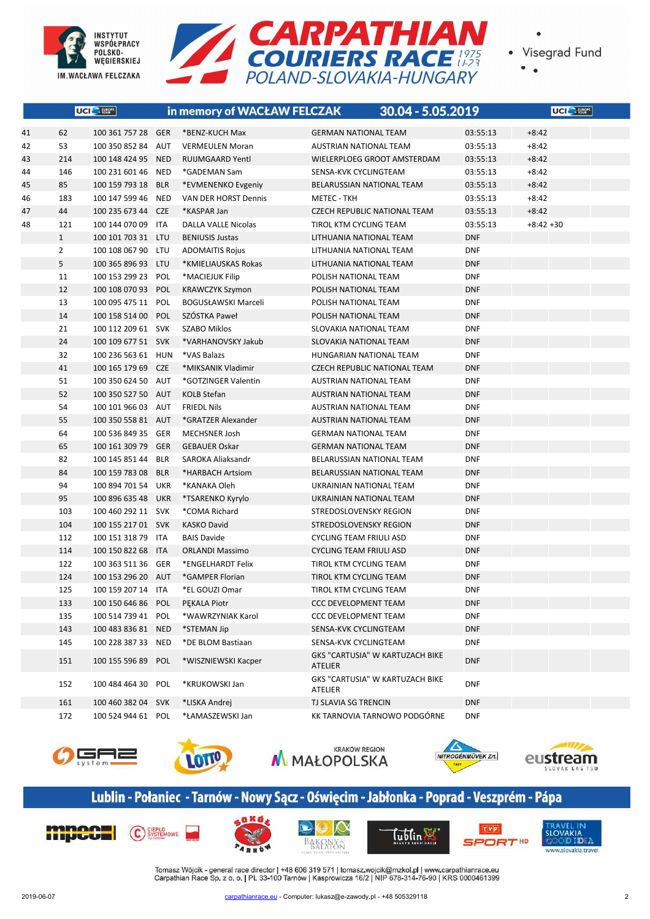



| ٠<br>۰ |  |
|--------|--|

|    |                | <b>UCI</b> S FURGPE |            | in memory of WACŁAW FELCZAK | 30.04 - 5.05.2019                          |            | <b>UCI</b> ERRPE |
|----|----------------|---------------------|------------|-----------------------------|--------------------------------------------|------------|------------------|
| 41 | 62             | 100 361 757 28 GER  |            | *BENZ-KUCH Max              | <b>GERMAN NATIONAL TEAM</b>                | 03:55:13   | $+8:42$          |
| 42 | 53             | 100 350 852 84      | AUT        | <b>VERMEULEN Moran</b>      | AUSTRIAN NATIONAL TEAM                     | 03:55:13   | $+8:42$          |
| 43 | 214            | 100 148 424 95 NED  |            | <b>RUIJMGAARD Yentl</b>     | WIELERPLOEG GROOT AMSTERDAM                | 03:55:13   | $+8:42$          |
| 44 | 146            | 100 231 601 46      | <b>NED</b> | *GADEMAN Sam                | SENSA-KVK CYCLINGTEAM                      | 03:55:13   | $+8:42$          |
| 45 | 85             | 100 159 793 18 BLR  |            | *EVMENENKO Evgeniy          | BELARUSSIAN NATIONAL TEAM                  | 03:55:13   | $+8:42$          |
| 46 | 183            | 100 147 599 46      | NED        | VAN DER HORST Dennis        | METEC - TKH                                | 03:55:13   | $+8:42$          |
| 47 | 44             | 100 235 673 44 CZE  |            | *KASPAR Jan                 | <b>CZECH REPUBLIC NATIONAL TEAM</b>        | 03:55:13   | $+8:42$          |
| 48 | 121            | 100 144 070 09 ITA  |            | <b>DALLA VALLE Nicolas</b>  | TIROL KTM CYCLING TEAM                     | 03:55:13   | $+8:42 +30$      |
|    | $\mathbf{1}$   | 100 101 703 31 LTU  |            | <b>BENIUSIS Justas</b>      | LITHUANIA NATIONAL TEAM                    | <b>DNF</b> |                  |
|    | $\overline{2}$ | 100 108 067 90 LTU  |            | <b>ADOMAITIS Rojus</b>      | LITHUANIA NATIONAL TEAM                    | <b>DNF</b> |                  |
|    | 5              | 100 365 896 93 LTU  |            | *KMIELIAUSKAS Rokas         | LITHUANIA NATIONAL TEAM                    | <b>DNF</b> |                  |
|    | 11             | 100 153 299 23      | POL        | *MACIEJUK Filip             | POLISH NATIONAL TEAM                       | <b>DNF</b> |                  |
|    | 12             | 100 108 070 93 POL  |            | <b>KRAWCZYK Szymon</b>      | POLISH NATIONAL TEAM                       | <b>DNF</b> |                  |
|    | 13             | 100 095 475 11 POL  |            | <b>BOGUSŁAWSKI Marceli</b>  | POLISH NATIONAL TEAM                       | <b>DNF</b> |                  |
|    | 14             | 100 158 514 00      | <b>POL</b> | SZÓSTKA Paweł               | POLISH NATIONAL TEAM                       | <b>DNF</b> |                  |
|    | 21             | 100 112 209 61 SVK  |            | SZABO Miklos                | SLOVAKIA NATIONAL TEAM                     | <b>DNF</b> |                  |
|    | 24             | 100 109 677 51 SVK  |            | *VARHANOVSKY Jakub          | SLOVAKIA NATIONAL TEAM                     | <b>DNF</b> |                  |
|    | 32             | 100 236 563 61 HUN  |            | *VAS Balazs                 | HUNGARIAN NATIONAL TEAM                    | <b>DNF</b> |                  |
|    | 41             | 100 165 179 69 CZE  |            | *MIKSANIK Vladimir          | <b>CZECH REPUBLIC NATIONAL TEAM</b>        | <b>DNF</b> |                  |
|    | 51             | 100 350 624 50 AUT  |            | *GOTZINGER Valentin         | AUSTRIAN NATIONAL TEAM                     | <b>DNF</b> |                  |
|    | 52             | 100 350 527 50 AUT  |            | <b>KOLB Stefan</b>          | AUSTRIAN NATIONAL TEAM                     | <b>DNF</b> |                  |
|    | 54             | 100 101 966 03 AUT  |            | <b>FRIEDL Nils</b>          | AUSTRIAN NATIONAL TEAM                     | <b>DNF</b> |                  |
|    | 55             | 100 350 558 81 AUT  |            | *GRATZER Alexander          | AUSTRIAN NATIONAL TEAM                     | <b>DNF</b> |                  |
|    | 64             | 100 536 849 35 GER  |            | <b>MECHSNER Josh</b>        | <b>GERMAN NATIONAL TEAM</b>                | <b>DNF</b> |                  |
|    | 65             | 100 161 309 79 GER  |            | <b>GEBAUER Oskar</b>        | <b>GERMAN NATIONAL TEAM</b>                | <b>DNF</b> |                  |
|    | 82             | 100 145 851 44      | <b>BLR</b> | SAROKA Aliaksandr           | BELARUSSIAN NATIONAL TEAM                  | <b>DNF</b> |                  |
|    | 84             | 100 159 783 08 BLR  |            | *HARBACH Artsiom            | BELARUSSIAN NATIONAL TEAM                  | <b>DNF</b> |                  |
|    | 94             | 100 894 701 54      | UKR        | *KANAKA Oleh                | UKRAINIAN NATIONAL TEAM                    | <b>DNF</b> |                  |
|    | 95             | 100 896 635 48 UKR  |            | *TSARENKO Kyrylo            | UKRAINIAN NATIONAL TEAM                    | <b>DNF</b> |                  |
|    | 103            | 100 460 292 11 SVK  |            | *COMA Richard               | STREDOSLOVENSKY REGION                     | <b>DNF</b> |                  |
|    | 104            | 100 155 217 01 SVK  |            | <b>KASKO David</b>          | STREDOSLOVENSKY REGION                     | <b>DNF</b> |                  |
|    | 112            | 100 151 318 79      | ITA        | <b>BAIS Davide</b>          | <b>CYCLING TEAM FRIULI ASD</b>             | <b>DNF</b> |                  |
|    | 114            | 100 150 822 68 ITA  |            | <b>ORLANDI Massimo</b>      | <b>CYCLING TEAM FRIULI ASD</b>             | <b>DNF</b> |                  |
|    | 122            | 100 363 511 36 GER  |            | *ENGELHARDT Felix           | TIROL KTM CYCLING TEAM                     | <b>DNF</b> |                  |
|    | 124            | 100 153 296 20 AUT  |            | *GAMPER Florian             | TIROL KTM CYCLING TEAM                     | <b>DNF</b> |                  |
|    | 125            | 100 159 207 14 ITA  |            | *EL GOUZI Omar              | TIROL KTM CYCLING TEAM                     | <b>DNF</b> |                  |
|    | 133            | 100 150 646 86 POL  |            | PEKALA Piotr                | <b>CCC DEVELOPMENT TEAM</b>                | <b>DNF</b> |                  |
|    | 135            | 100 514 739 41 POL  |            | *WAWRZYNIAK Karol           | <b>CCC DEVELOPMENT TEAM</b>                | <b>DNF</b> |                  |
|    | 143            | 100 483 836 81 NED  |            | *STEMAN Jip                 | SENSA-KVK CYCLINGTEAM                      | <b>DNF</b> |                  |
|    | 145            | 100 228 387 33 NED  |            | *DE BLOM Bastiaan           | SENSA-KVK CYCLINGTEAM                      | <b>DNF</b> |                  |
|    | 151            | 100 155 596 89 POL  |            | *WISZNIEWSKI Kacper         | GKS "CARTUSIA" W KARTUZACH BIKE<br>ATELIER | <b>DNF</b> |                  |
|    | 152            | 100 484 464 30 POL  |            | *KRUKOWSKI Jan              | GKS "CARTUSIA" W KARTUZACH BIKE<br>ATELIER | <b>DNF</b> |                  |
|    | 161            | 100 460 382 04 SVK  |            | *LISKA Andrej               | TJ SLAVIA SG TRENCIN                       | <b>DNF</b> |                  |
|    | 172            | 100 524 944 61 POL  |            | *ŁAMASZEWSKI Jan            | KK TARNOVIA TARNOWO PODGÓRNE               | <b>DNF</b> |                  |











## Lublin - Połaniec - Tarnów - Nowy Sącz - Oświęcim - Jabłonka - Poprad - Veszprém - Pápa











TRAVEL IN<br>SLOVAKIA<br>GOOD I DE www.slovakia.trave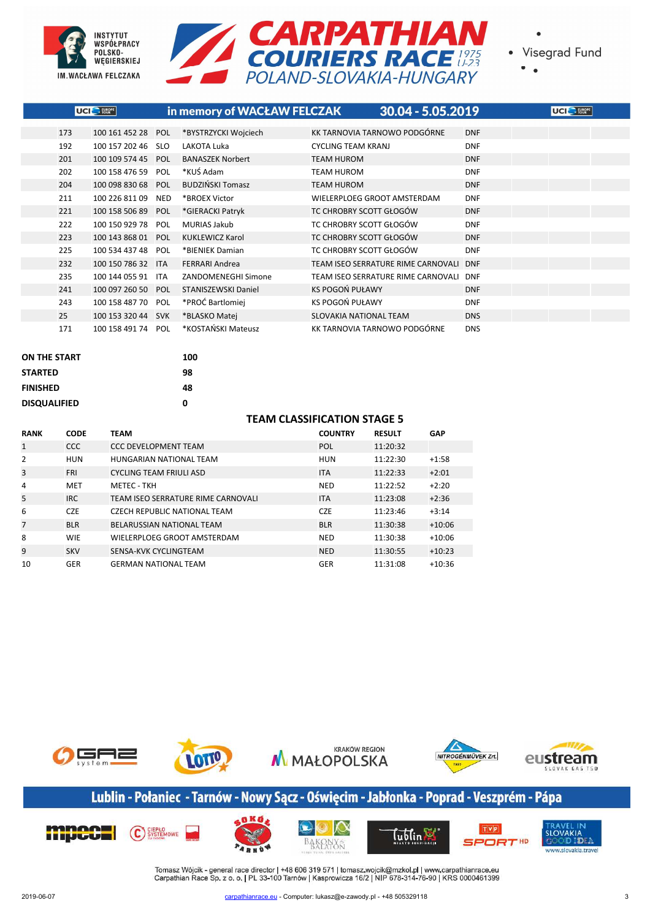



 $\bullet$ 

|     | UCI <sup>-</sup> FUROPE |            | in memory of WACŁAW FELCZAK | $30.04 - 5.05.2019$                |            | UCI <sup>C</sup> FUROPE |  |
|-----|-------------------------|------------|-----------------------------|------------------------------------|------------|-------------------------|--|
| 173 | 100 161 452 28 POL      |            | *BYSTRZYCKI Wojciech        | KK TARNOVIA TARNOWO PODGÓRNE       | <b>DNF</b> |                         |  |
| 192 | 100 157 202 46          | <b>SLO</b> | LAKOTA Luka                 | <b>CYCLING TEAM KRANJ</b>          | <b>DNF</b> |                         |  |
| 201 | 100 109 574 45          | <b>POL</b> | <b>BANASZEK Norbert</b>     | <b>TEAM HUROM</b>                  | <b>DNF</b> |                         |  |
| 202 | 100 158 476 59          | <b>POL</b> | *KUŚ Adam                   | <b>TEAM HUROM</b>                  | <b>DNF</b> |                         |  |
| 204 | 100 098 830 68          | <b>POL</b> | <b>BUDZIŃSKI Tomasz</b>     | <b>TEAM HUROM</b>                  | <b>DNF</b> |                         |  |
| 211 | 100 226 811 09          | <b>NED</b> | *BROEX Victor               | WIELERPLOEG GROOT AMSTERDAM        | <b>DNF</b> |                         |  |
| 221 | 100 158 506 89          | <b>POL</b> | *GIERACKI Patryk            | TC CHROBRY SCOTT GŁOGÓW            | <b>DNF</b> |                         |  |
| 222 | 100 150 929 78          | <b>POL</b> | <b>MURIAS Jakub</b>         | TC CHROBRY SCOTT GŁOGÓW            | <b>DNF</b> |                         |  |
| 223 | 100 143 868 01          | <b>POL</b> | <b>KUKLEWICZ Karol</b>      | TC CHROBRY SCOTT GŁOGÓW            | <b>DNF</b> |                         |  |
| 225 | 100 534 437 48          | <b>POL</b> | *BIENIEK Damian             | TC CHROBRY SCOTT GŁOGÓW            | <b>DNF</b> |                         |  |
| 232 | 100 150 786 32          | <b>ITA</b> | <b>FERRARI Andrea</b>       | TEAM ISEO SERRATURE RIME CARNOVALI | <b>DNF</b> |                         |  |
| 235 | 100 144 055 91          | <b>ITA</b> | ZANDOMENEGHI Simone         | TEAM ISEO SERRATURE RIME CARNOVALI | <b>DNF</b> |                         |  |
| 241 | 100 097 260 50 POL      |            | STANISZEWSKI Daniel         | KS POGOŃ PUŁAWY                    | <b>DNF</b> |                         |  |
| 243 | 100 158 487 70          | <b>POL</b> | *PROĆ Bartlomiej            | KS POGOŃ PUŁAWY                    | <b>DNF</b> |                         |  |
| 25  | 100 153 320 44          | <b>SVK</b> | *BLASKO Matei               | SLOVAKIA NATIONAL TEAM             | <b>DNS</b> |                         |  |
| 171 | 100 158 491 74          | <b>POL</b> | *KOSTAŃSKI Mateusz          | KK TARNOVIA TARNOWO PODGÓRNE       | <b>DNS</b> |                         |  |

| <b>ON THE START</b> | 100 |
|---------------------|-----|
| <b>STARTED</b>      | 98  |
| <b>FINISHED</b>     | 48  |
| <b>DISQUALIFIED</b> | ŋ   |

#### **TEAM CLASSIFICATION STAGE 5**

| <b>RANK</b>    | <b>CODE</b> | TEAM                               | <b>COUNTRY</b> | <b>RESULT</b> | <b>GAP</b> |
|----------------|-------------|------------------------------------|----------------|---------------|------------|
| $\mathbf{1}$   | <b>CCC</b>  | <b>CCC DEVELOPMENT TEAM</b>        | POL            | 11:20:32      |            |
| $\overline{2}$ | HUN         | HUNGARIAN NATIONAL TEAM            | HUN            | 11:22:30      | $+1:58$    |
| 3              | <b>FRI</b>  | CYCLING TEAM FRIULI ASD            | <b>ITA</b>     | 11:22:33      | $+2:01$    |
| 4              | MET         | <b>METEC - TKH</b>                 | <b>NED</b>     | 11:22:52      | $+2:20$    |
| 5              | <b>IRC</b>  | TEAM ISEO SERRATURE RIME CARNOVALI | <b>ITA</b>     | 11:23:08      | $+2:36$    |
| 6              | <b>CZE</b>  | CZECH REPUBLIC NATIONAL TEAM       | <b>CZE</b>     | 11:23:46      | $+3:14$    |
| $\overline{7}$ | <b>BLR</b>  | BELARUSSIAN NATIONAL TEAM          | <b>BLR</b>     | 11:30:38      | $+10:06$   |
| 8              | <b>WIE</b>  | WIELERPLOEG GROOT AMSTERDAM        | <b>NED</b>     | 11:30:38      | $+10:06$   |
| 9              | <b>SKV</b>  | SENSA-KVK CYCLINGTEAM              | <b>NED</b>     | 11:30:55      | $+10:23$   |
| 10             | GER         | <b>GERMAN NATIONAL TEAM</b>        | GER            | 11:31:08      | $+10:36$   |



## Lublin - Połaniec - Tarnów - Nowy Sącz - Oświęcim - Jabłonka - Poprad - Veszprém - Pápa

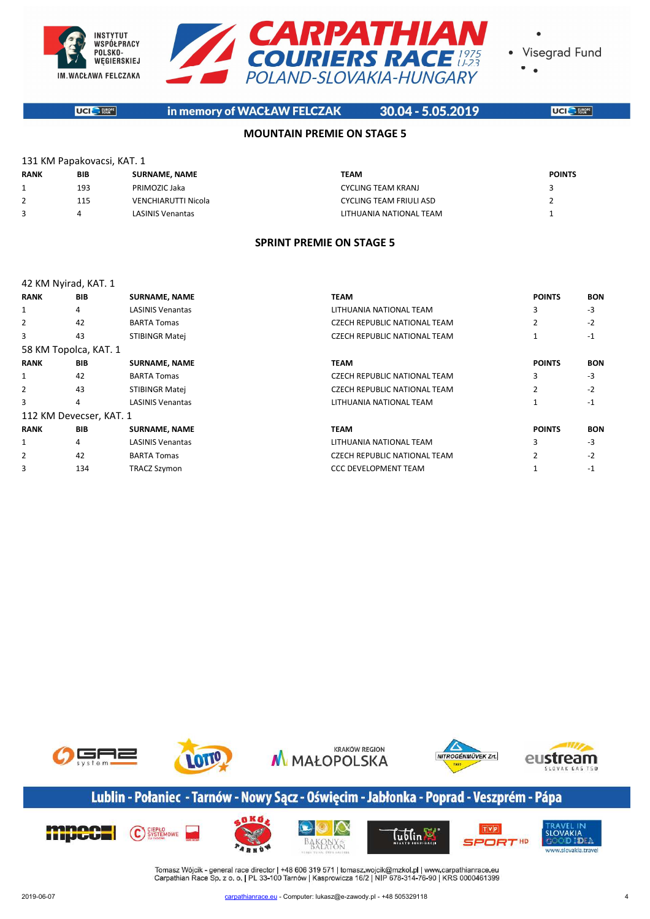



**UCI** EUROPE

in memory of WACŁAW FELCZAK 30.04 - 5.05.2019

**UCI** SERVICE

#### **MOUNTAIN PREMIE ON STAGE 5**

#### 131 KM Papakovacsi, KAT. 1

| <b>RANK</b> | <b>BIB</b> | <b>SURNAME, NAME</b>    | TEAM                           | <b>POINTS</b> |
|-------------|------------|-------------------------|--------------------------------|---------------|
|             | 193        | PRIMOZIC Jaka           | <b>CYCLING TEAM KRANJ</b>      |               |
|             | 115        | VENCHIARUTTI Nicola     | <b>CYCLING TEAM FRIULI ASD</b> |               |
|             |            | <b>LASINIS Venantas</b> | LITHUANIA NATIONAL TEAM        |               |

#### **SPRINT PREMIE ON STAGE 5**

|             | 42 KM Nyirad, KAT. 1    |                         |                                     |               |            |  |  |  |  |
|-------------|-------------------------|-------------------------|-------------------------------------|---------------|------------|--|--|--|--|
| <b>RANK</b> | <b>BIB</b>              | <b>SURNAME, NAME</b>    | <b>TEAM</b>                         | <b>POINTS</b> | <b>BON</b> |  |  |  |  |
| 1           | 4                       | <b>LASINIS Venantas</b> | LITHUANIA NATIONAL TEAM             | 3             | $-3$       |  |  |  |  |
| 2           | 42                      | <b>BARTA Tomas</b>      | <b>CZECH REPUBLIC NATIONAL TEAM</b> |               | $-2$       |  |  |  |  |
| 3           | 43                      | STIBINGR Matej          | <b>CZECH REPUBLIC NATIONAL TEAM</b> |               | $-1$       |  |  |  |  |
|             | 58 KM Topolca, KAT. 1   |                         |                                     |               |            |  |  |  |  |
| <b>RANK</b> | <b>BIB</b>              | <b>SURNAME, NAME</b>    | <b>TEAM</b>                         | <b>POINTS</b> | <b>BON</b> |  |  |  |  |
| 1           | 42                      | <b>BARTA Tomas</b>      | <b>CZECH REPUBLIC NATIONAL TEAM</b> | 3             | $-3$       |  |  |  |  |
| 2           | 43                      | STIBINGR Matej          | <b>CZECH REPUBLIC NATIONAL TEAM</b> |               | $-2$       |  |  |  |  |
| 3           | 4                       | <b>LASINIS Venantas</b> | LITHUANIA NATIONAL TEAM             | $\mathbf{1}$  | -1         |  |  |  |  |
|             | 112 KM Devecser, KAT. 1 |                         |                                     |               |            |  |  |  |  |
| <b>RANK</b> | <b>BIB</b>              | <b>SURNAME, NAME</b>    | <b>TEAM</b>                         | <b>POINTS</b> | <b>BON</b> |  |  |  |  |
| 1           | 4                       | <b>LASINIS Venantas</b> | LITHUANIA NATIONAL TEAM             | 3             | $-3$       |  |  |  |  |
| 2           | 42                      | <b>BARTA Tomas</b>      | <b>CZECH REPUBLIC NATIONAL TEAM</b> |               | $-2$       |  |  |  |  |
| 3           | 134                     | <b>TRACZ Szymon</b>     | <b>CCC DEVELOPMENT TEAM</b>         |               | -1         |  |  |  |  |



## Lublin - Połaniec - Tarnów - Nowy Sącz - Oświęcim - Jabłonka - Poprad - Veszprém - Pápa

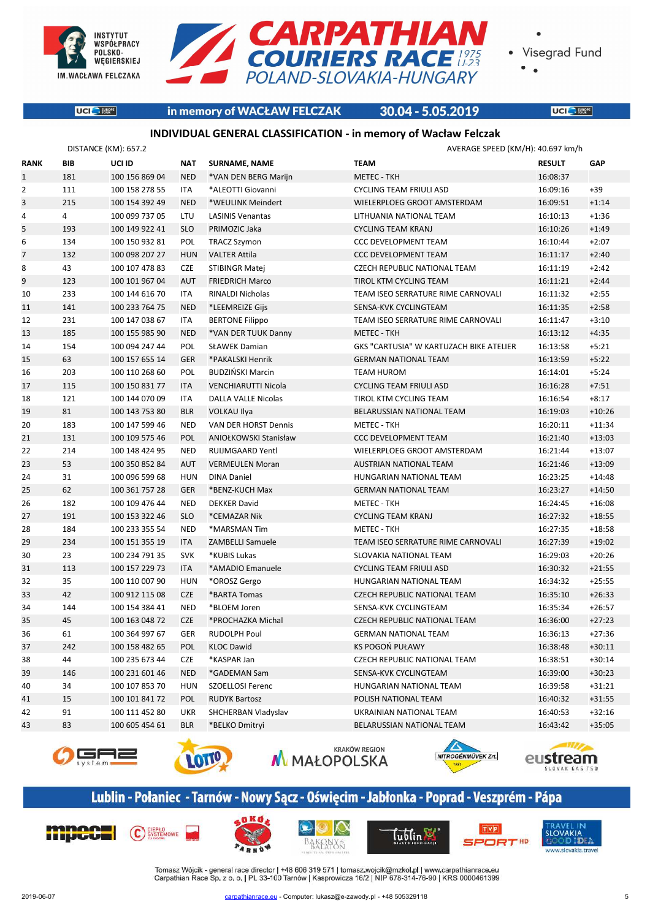

**UCI** E FURRATE



in memory of WACŁAW FELCZAK

30.04 - 5.05.2019

**UCI** SERVICE

Visegrad Fund

#### **INDIVIDUAL GENERAL CLASSIFICATION - in memory of Wacław Felczak**

|              | DISTANCE (KM): 657.2 |                |            |                              | AVERAGE SPEED (KM/H): 40.697 km/h       |               |            |
|--------------|----------------------|----------------|------------|------------------------------|-----------------------------------------|---------------|------------|
| <b>RANK</b>  | <b>BIB</b>           | UCI ID         | <b>NAT</b> | <b>SURNAME, NAME</b>         | <b>TEAM</b>                             | <b>RESULT</b> | <b>GAP</b> |
| $\mathbf{1}$ | 181                  | 100 156 869 04 | <b>NED</b> | *VAN DEN BERG Marijn         | <b>METEC - TKH</b>                      | 16:08:37      |            |
| 2            | 111                  | 100 158 278 55 | ITA        | *ALEOTTI Giovanni            | CYCLING TEAM FRIULI ASD                 | 16:09:16      | $+39$      |
| 3            | 215                  | 100 154 392 49 | <b>NED</b> | *WEULINK Meindert            | WIELERPLOEG GROOT AMSTERDAM             | 16:09:51      | $+1:14$    |
| 4            | 4                    | 100 099 737 05 | LTU        | <b>LASINIS Venantas</b>      | LITHUANIA NATIONAL TEAM                 | 16:10:13      | $+1:36$    |
| 5            | 193                  | 100 149 922 41 | <b>SLO</b> | PRIMOZIC Jaka                | <b>CYCLING TEAM KRANJ</b>               | 16:10:26      | $+1:49$    |
| 6            | 134                  | 100 150 932 81 | POL        | <b>TRACZ Szymon</b>          | <b>CCC DEVELOPMENT TEAM</b>             | 16:10:44      | $+2:07$    |
| 7            | 132                  | 100 098 207 27 | <b>HUN</b> | <b>VALTER Attila</b>         | <b>CCC DEVELOPMENT TEAM</b>             | 16:11:17      | $+2:40$    |
| 8            | 43                   | 100 107 478 83 | CZE        | <b>STIBINGR Matej</b>        | <b>CZECH REPUBLIC NATIONAL TEAM</b>     | 16:11:19      | $+2:42$    |
| 9            | 123                  | 100 101 967 04 | AUT        | <b>FRIEDRICH Marco</b>       | TIROL KTM CYCLING TEAM                  | 16:11:21      | $+2:44$    |
| 10           | 233                  | 100 144 616 70 | ITA        | <b>RINALDI Nicholas</b>      | TEAM ISEO SERRATURE RIME CARNOVALI      | 16:11:32      | $+2:55$    |
| 11           | 141                  | 100 233 764 75 | <b>NED</b> | *LEEMREIZE Gijs              | SENSA-KVK CYCLINGTEAM                   | 16:11:35      | $+2:58$    |
| 12           | 231                  | 100 147 038 67 | ITA        | <b>BERTONE Filippo</b>       | TEAM ISEO SERRATURE RIME CARNOVALI      | 16:11:47      | $+3:10$    |
| 13           | 185                  | 100 155 985 90 | <b>NED</b> | *VAN DER TUUK Danny          | <b>METEC - TKH</b>                      | 16:13:12      | $+4:35$    |
| 14           | 154                  | 100 094 247 44 | POL        | <b>SŁAWEK Damian</b>         | GKS "CARTUSIA" W KARTUZACH BIKE ATELIER | 16:13:58      | $+5:21$    |
| 15           | 63                   | 100 157 655 14 | <b>GER</b> | *PAKALSKI Henrik             | <b>GERMAN NATIONAL TEAM</b>             | 16:13:59      | $+5:22$    |
| 16           | 203                  | 100 110 268 60 | POL        | <b>BUDZIŃSKI Marcin</b>      | <b>TEAM HUROM</b>                       | 16:14:01      | $+5:24$    |
| 17           | 115                  | 100 150 831 77 | <b>ITA</b> | VENCHIARUTTI Nicola          | <b>CYCLING TEAM FRIULI ASD</b>          | 16:16:28      | $+7:51$    |
| 18           | 121                  | 100 144 070 09 | <b>ITA</b> | DALLA VALLE Nicolas          | TIROL KTM CYCLING TEAM                  | 16:16:54      | $+8:17$    |
| 19           | 81                   | 100 143 753 80 | <b>BLR</b> | <b>VOLKAU Ilya</b>           | BELARUSSIAN NATIONAL TEAM               | 16:19:03      | $+10:26$   |
| 20           | 183                  | 100 147 599 46 | <b>NED</b> | VAN DER HORST Dennis         | <b>METEC - TKH</b>                      | 16:20:11      | $+11:34$   |
| 21           | 131                  | 100 109 575 46 | <b>POL</b> | <b>ANIOŁKOWSKI Stanisław</b> | <b>CCC DEVELOPMENT TEAM</b>             | 16:21:40      | $+13:03$   |
| 22           | 214                  | 100 148 424 95 | <b>NED</b> | RUIJMGAARD Yentl             | WIELERPLOEG GROOT AMSTERDAM             | 16:21:44      | $+13:07$   |
| 23           | 53                   | 100 350 852 84 | AUT        | <b>VERMEULEN Moran</b>       | AUSTRIAN NATIONAL TEAM                  | 16:21:46      | $+13:09$   |
| 24           | 31                   | 100 096 599 68 | HUN        | <b>DINA Daniel</b>           | HUNGARIAN NATIONAL TEAM                 | 16:23:25      | $+14:48$   |
| 25           | 62                   | 100 361 757 28 | <b>GER</b> | *BENZ-KUCH Max               | <b>GERMAN NATIONAL TEAM</b>             | 16:23:27      | $+14:50$   |
| 26           | 182                  | 100 109 476 44 | <b>NED</b> | <b>DEKKER David</b>          | <b>METEC - TKH</b>                      | 16:24:45      | $+16:08$   |
| 27           | 191                  | 100 153 322 46 | <b>SLO</b> | *CEMAZAR Nik                 | <b>CYCLING TEAM KRANJ</b>               | 16:27:32      | $+18:55$   |
| 28           | 184                  | 100 233 355 54 | <b>NED</b> | *MARSMAN Tim                 | <b>METEC - TKH</b>                      | 16:27:35      | $+18:58$   |
| 29           | 234                  | 100 151 355 19 | <b>ITA</b> | ZAMBELLI Samuele             | TEAM ISEO SERRATURE RIME CARNOVALI      | 16:27:39      | $+19:02$   |
| 30           | 23                   | 100 234 791 35 | <b>SVK</b> | *KUBIS Lukas                 | SLOVAKIA NATIONAL TEAM                  | 16:29:03      | $+20:26$   |
| 31           | 113                  | 100 157 229 73 | <b>ITA</b> | *AMADIO Emanuele             | <b>CYCLING TEAM FRIULI ASD</b>          | 16:30:32      | $+21:55$   |
| 32           | 35                   | 100 110 007 90 | <b>HUN</b> | *OROSZ Gergo                 | HUNGARIAN NATIONAL TEAM                 | 16:34:32      | $+25:55$   |
| 33           | 42                   | 100 912 115 08 | <b>CZE</b> | *BARTA Tomas                 | <b>CZECH REPUBLIC NATIONAL TEAM</b>     | 16:35:10      | $+26:33$   |
| 34           | 144                  | 100 154 384 41 | <b>NED</b> | *BLOEM Joren                 | SENSA-KVK CYCLINGTEAM                   | 16:35:34      | $+26:57$   |
| 35           | 45                   | 100 163 048 72 | <b>CZE</b> | *PROCHAZKA Michal            | <b>CZECH REPUBLIC NATIONAL TEAM</b>     | 16:36:00      | $+27:23$   |
| 36           | 61                   | 100 364 997 67 | GER        | RUDOLPH Poul                 | <b>GERMAN NATIONAL TEAM</b>             | 16:36:13      | $+27:36$   |
| 37           | 242                  | 100 158 482 65 | <b>POL</b> | <b>KLOC Dawid</b>            | KS POGOŃ PUŁAWY                         | 16:38:48      | $+30:11$   |
| 38           | 44                   | 100 235 673 44 | CZE        | *KASPAR Jan                  | CZECH REPUBLIC NATIONAL TEAM            | 16:38:51      | $+30:14$   |
| 39           | 146                  | 100 231 601 46 | <b>NED</b> | *GADEMAN Sam                 | SENSA-KVK CYCLINGTEAM                   | 16:39:00      | $+30:23$   |
| 40           | 34                   | 100 107 853 70 | <b>HUN</b> | <b>SZOELLOSI Ferenc</b>      | HUNGARIAN NATIONAL TEAM                 | 16:39:58      | $+31:21$   |
| 41           | 15                   | 100 101 841 72 | <b>POL</b> | <b>RUDYK Bartosz</b>         | POLISH NATIONAL TEAM                    | 16:40:32      | $+31:55$   |
| 42           | 91                   | 100 111 452 80 | UKR        | SHCHERBAN Vladyslav          | UKRAINIAN NATIONAL TEAM                 | 16:40:53      | $+32:16$   |
| 43           | 83                   | 100 605 454 61 | <b>BLR</b> | *BELKO Dmitryi               | BELARUSSIAN NATIONAL TEAM               | 16:43:42      | $+35:05$   |
|              |                      |                |            |                              |                                         |               |            |











## Lublin - Połaniec - Tarnów - Nowy Sącz - Oświęcim - Jabłonka - Poprad - Veszprém - Pápa











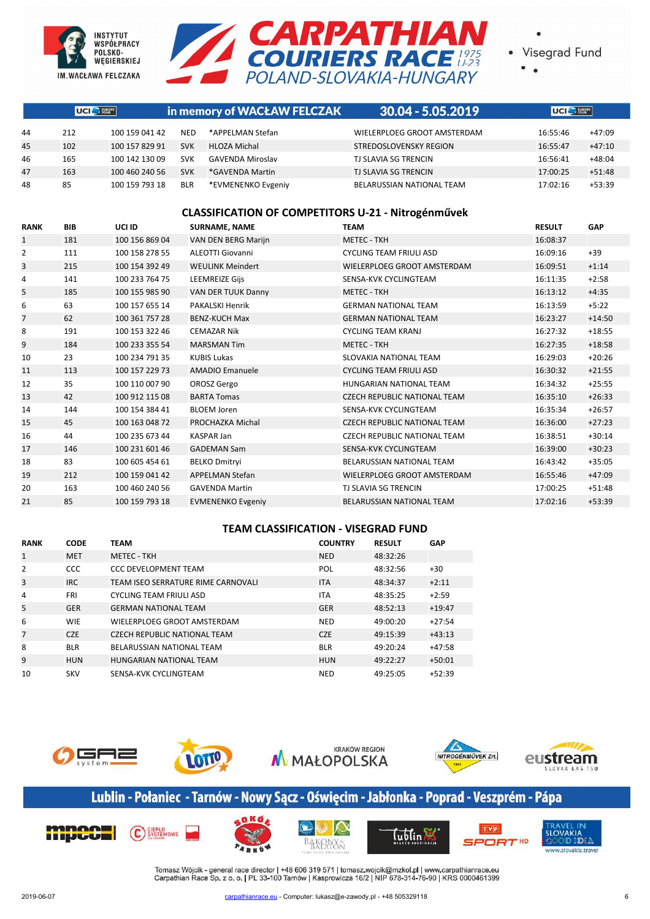



 $\bullet$ 

|    | UCI <sup>C</sup> FURRATE |                |            | in memory of WACŁAW FELCZAK | $30.04 - 5.05.2019$         | UCI <sup>C</sup> -FUSER |          |
|----|--------------------------|----------------|------------|-----------------------------|-----------------------------|-------------------------|----------|
| 44 | 212                      | 100 159 041 42 | <b>NED</b> | *APPELMAN Stefan            | WIELERPLOEG GROOT AMSTERDAM | 16:55:46                | $+47:09$ |
| 45 | 102                      | 100 157 829 91 | <b>SVK</b> | <b>HLOZA Michal</b>         | STREDOSLOVENSKY REGION      | 16:55:47                | $+47:10$ |
| 46 | 165                      | 100 142 130 09 | <b>SVK</b> | <b>GAVENDA Miroslav</b>     | TJ SLAVIA SG TRENCIN        | 16:56:41                | $+48:04$ |
| 47 | 163                      | 100 460 240 56 | <b>SVK</b> | *GAVENDA Martin             | TJ SLAVIA SG TRENCIN        | 17:00:25                | $+51:48$ |
| 48 | 85                       | 100 159 793 18 | <b>BLR</b> | *EVMENENKO Evgeniy          | BELARUSSIAN NATIONAL TEAM   | 17:02:16                | $+53:39$ |

#### **CLASSIFICATION OF COMPETITORS U-21 - Nitrogénművek**

| <b>RANK</b>  | <b>BIB</b> | UCI ID         | <b>SURNAME, NAME</b>     | <b>TEAM</b>                         | <b>RESULT</b> | <b>GAP</b> |
|--------------|------------|----------------|--------------------------|-------------------------------------|---------------|------------|
| $\mathbf{1}$ | 181        | 100 156 869 04 | VAN DEN BERG Marijn      | <b>METEC - TKH</b>                  | 16:08:37      |            |
| 2            | 111        | 100 158 278 55 | <b>ALEOTTI Giovanni</b>  | <b>CYCLING TEAM FRIULI ASD</b>      | 16:09:16      | $+39$      |
| 3            | 215        | 100 154 392 49 | <b>WEULINK Meindert</b>  | WIELERPLOEG GROOT AMSTERDAM         | 16:09:51      | $+1:14$    |
| 4            | 141        | 100 233 764 75 | <b>LEEMREIZE Gijs</b>    | SENSA-KVK CYCLINGTEAM               | 16:11:35      | $+2:58$    |
| 5            | 185        | 100 155 985 90 | VAN DER TUUK Danny       | <b>METEC - TKH</b>                  | 16:13:12      | $+4:35$    |
| 6            | 63         | 100 157 655 14 | <b>PAKALSKI Henrik</b>   | <b>GERMAN NATIONAL TEAM</b>         | 16:13:59      | $+5:22$    |
| 7            | 62         | 100 361 757 28 | <b>BENZ-KUCH Max</b>     | <b>GERMAN NATIONAL TEAM</b>         | 16:23:27      | $+14:50$   |
| 8            | 191        | 100 153 322 46 | <b>CEMAZAR Nik</b>       | <b>CYCLING TEAM KRANJ</b>           | 16:27:32      | $+18:55$   |
| 9            | 184        | 100 233 355 54 | <b>MARSMAN Tim</b>       | <b>METEC - TKH</b>                  | 16:27:35      | $+18:58$   |
| 10           | 23         | 100 234 791 35 | <b>KUBIS Lukas</b>       | <b>SLOVAKIA NATIONAL TEAM</b>       | 16:29:03      | $+20:26$   |
| 11           | 113        | 100 157 229 73 | <b>AMADIO Emanuele</b>   | <b>CYCLING TEAM FRIULI ASD</b>      | 16:30:32      | $+21:55$   |
| 12           | 35         | 100 110 007 90 | OROSZ Gergo              | <b>HUNGARIAN NATIONAL TEAM</b>      | 16:34:32      | $+25:55$   |
| 13           | 42         | 100 912 115 08 | <b>BARTA Tomas</b>       | <b>CZECH REPUBLIC NATIONAL TEAM</b> | 16:35:10      | $+26:33$   |
| 14           | 144        | 100 154 384 41 | <b>BLOEM Joren</b>       | SENSA-KVK CYCLINGTEAM               | 16:35:34      | $+26:57$   |
| 15           | 45         | 100 163 048 72 | PROCHAZKA Michal         | <b>CZECH REPUBLIC NATIONAL TEAM</b> | 16:36:00      | $+27:23$   |
| 16           | 44         | 100 235 673 44 | KASPAR Jan               | <b>CZECH REPUBLIC NATIONAL TEAM</b> | 16:38:51      | $+30:14$   |
| 17           | 146        | 100 231 601 46 | <b>GADEMAN Sam</b>       | SENSA-KVK CYCLINGTEAM               | 16:39:00      | $+30:23$   |
| 18           | 83         | 100 605 454 61 | <b>BELKO Dmitryi</b>     | BELARUSSIAN NATIONAL TEAM           | 16:43:42      | $+35:05$   |
| 19           | 212        | 100 159 041 42 | <b>APPELMAN Stefan</b>   | WIELERPLOEG GROOT AMSTERDAM         | 16:55:46      | $+47:09$   |
| 20           | 163        | 100 460 240 56 | <b>GAVENDA Martin</b>    | <b>TJ SLAVIA SG TRENCIN</b>         | 17:00:25      | $+51:48$   |
| 21           | 85         | 100 159 793 18 | <b>EVMENENKO Evgeniy</b> | BELARUSSIAN NATIONAL TEAM           | 17:02:16      | $+53:39$   |

#### **TEAM CLASSIFICATION - VISEGRAD FUND**

| <b>RANK</b>    | <b>CODE</b> | <b>TEAM</b>                        | <b>COUNTRY</b> | <b>RESULT</b> | GAP      |
|----------------|-------------|------------------------------------|----------------|---------------|----------|
| $\mathbf{1}$   | <b>MET</b>  | <b>METEC - TKH</b>                 | <b>NED</b>     | 48:32:26      |          |
| $\overline{2}$ | CCC         | <b>CCC DEVELOPMENT TEAM</b>        | POL            | 48:32:56      | $+30$    |
| 3              | <b>IRC</b>  | TEAM ISEO SERRATURE RIME CARNOVALI | <b>ITA</b>     | 48:34:37      | $+2:11$  |
| 4              | FRI         | CYCLING TEAM FRIULI ASD            | <b>ITA</b>     | 48:35:25      | $+2:59$  |
| 5              | <b>GER</b>  | <b>GERMAN NATIONAL TEAM</b>        | <b>GER</b>     | 48:52:13      | $+19:47$ |
| 6              | <b>WIE</b>  | WIELERPLOEG GROOT AMSTERDAM        | <b>NED</b>     | 49:00:20      | $+27:54$ |
| $\overline{7}$ | <b>CZE</b>  | CZECH REPUBLIC NATIONAL TEAM       | <b>CZE</b>     | 49:15:39      | $+43:13$ |
| 8              | <b>BLR</b>  | BELARUSSIAN NATIONAL TEAM          | <b>BLR</b>     | 49:20:24      | $+47:58$ |
| 9              | <b>HUN</b>  | HUNGARIAN NATIONAL TEAM            | <b>HUN</b>     | 49:22:27      | $+50:01$ |
| 10             | <b>SKV</b>  | SENSA-KVK CYCLINGTEAM              | <b>NED</b>     | 49:25:05      | $+52:39$ |



## Lublin - Połaniec - Tarnów - Nowy Sącz - Oświęcim - Jabłonka - Poprad - Veszprém - Pápa

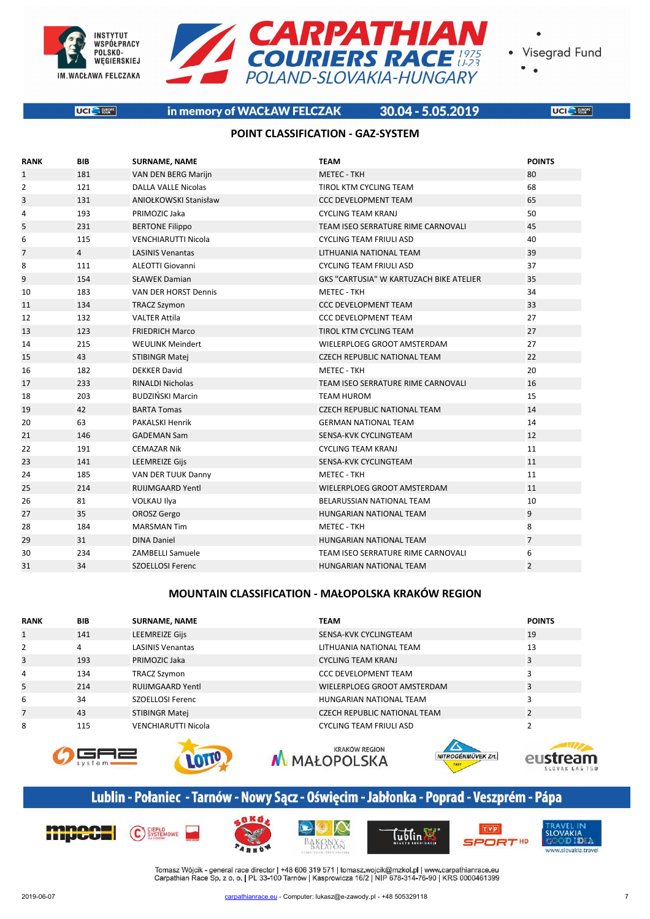



 $\bullet$ 

**UCI** E FURRATE

#### in memory of WACŁAW FELCZAK 30.04 - 5.05.2019

**UCI** SERVICE

### **POINT CLASSIFICATION - GAZ-SYSTEM**

| <b>RANK</b>    | <b>BIB</b>     | <b>SURNAME, NAME</b>         | <b>TEAM</b>                                    | <b>POINTS</b>  |
|----------------|----------------|------------------------------|------------------------------------------------|----------------|
| $\mathbf{1}$   | 181            | VAN DEN BERG Marijn          | <b>METEC - TKH</b>                             | 80             |
| $\overline{2}$ | 121            | <b>DALLA VALLE Nicolas</b>   | TIROL KTM CYCLING TEAM                         | 68             |
| 3              | 131            | <b>ANIOŁKOWSKI Stanisław</b> | <b>CCC DEVELOPMENT TEAM</b>                    | 65             |
| 4              | 193            | PRIMOZIC Jaka                | <b>CYCLING TEAM KRANJ</b>                      | 50             |
| 5              | 231            | <b>BERTONE Filippo</b>       | TEAM ISEO SERRATURE RIME CARNOVALI             | 45             |
| 6              | 115            | <b>VENCHIARUTTI Nicola</b>   | <b>CYCLING TEAM FRIULI ASD</b>                 | 40             |
| $\overline{7}$ | $\overline{4}$ | <b>LASINIS Venantas</b>      | LITHUANIA NATIONAL TEAM                        | 39             |
| 8              | 111            | ALEOTTI Giovanni             | <b>CYCLING TEAM FRIULI ASD</b>                 | 37             |
| 9              | 154            | <b>SŁAWEK Damian</b>         | <b>GKS "CARTUSIA" W KARTUZACH BIKE ATELIER</b> | 35             |
| 10             | 183            | VAN DER HORST Dennis         | <b>METEC - TKH</b>                             | 34             |
| 11             | 134            | <b>TRACZ Szymon</b>          | <b>CCC DEVELOPMENT TEAM</b>                    | 33             |
| 12             | 132            | <b>VALTER Attila</b>         | <b>CCC DEVELOPMENT TEAM</b>                    | 27             |
| 13             | 123            | <b>FRIEDRICH Marco</b>       | TIROL KTM CYCLING TEAM                         | 27             |
| 14             | 215            | <b>WEULINK Meindert</b>      | WIELERPLOEG GROOT AMSTERDAM                    | 27             |
| 15             | 43             | <b>STIBINGR Matej</b>        | <b>CZECH REPUBLIC NATIONAL TEAM</b>            | 22             |
| 16             | 182            | <b>DEKKER David</b>          | <b>METEC - TKH</b>                             | 20             |
| 17             | 233            | <b>RINALDI Nicholas</b>      | TEAM ISEO SERRATURE RIME CARNOVALI             | 16             |
| 18             | 203            | BUDZIŃSKI Marcin             | <b>TEAM HUROM</b>                              | 15             |
| 19             | 42             | <b>BARTA Tomas</b>           | <b>CZECH REPUBLIC NATIONAL TEAM</b>            | 14             |
| 20             | 63             | PAKALSKI Henrik              | <b>GERMAN NATIONAL TEAM</b>                    | 14             |
| 21             | 146            | <b>GADEMAN Sam</b>           | SENSA-KVK CYCLINGTEAM                          | 12             |
| 22             | 191            | <b>CEMAZAR Nik</b>           | <b>CYCLING TEAM KRANJ</b>                      | 11             |
| 23             | 141            | <b>LEEMREIZE Gijs</b>        | SENSA-KVK CYCLINGTEAM                          | 11             |
| 24             | 185            | VAN DER TUUK Danny           | <b>METEC - TKH</b>                             | 11             |
| 25             | 214            | <b>RUIJMGAARD Yentl</b>      | WIELERPLOEG GROOT AMSTERDAM                    | 11             |
| 26             | 81             | <b>VOLKAU Ilya</b>           | BELARUSSIAN NATIONAL TEAM                      | 10             |
| 27             | 35             | OROSZ Gergo                  | HUNGARIAN NATIONAL TEAM                        | 9              |
| 28             | 184            | <b>MARSMAN Tim</b>           | <b>METEC - TKH</b>                             | 8              |
| 29             | 31             | <b>DINA Daniel</b>           | <b>HUNGARIAN NATIONAL TEAM</b>                 | $\overline{7}$ |
| 30             | 234            | <b>ZAMBELLI Samuele</b>      | TEAM ISEO SERRATURE RIME CARNOVALI             | 6              |
| 31             | 34             | <b>SZOELLOSI Ferenc</b>      | <b>HUNGARIAN NATIONAL TEAM</b>                 | $\overline{2}$ |

#### **MOUNTAIN CLASSIFICATION - MAŁOPOLSKA KRAKÓW REGION**

| <b>RANK</b>    | <b>BIB</b> | <b>SURNAME, NAME</b>       | <b>TEAM</b>                                                                                          | <b>POINTS</b> |
|----------------|------------|----------------------------|------------------------------------------------------------------------------------------------------|---------------|
| $\mathbf{1}$   | 141        | <b>LEEMREIZE Gijs</b>      | SENSA-KVK CYCLINGTEAM                                                                                | 19            |
| 2              | 4          | <b>LASINIS Venantas</b>    | LITHUANIA NATIONAL TEAM                                                                              | 13            |
| 3              | 193        | PRIMOZIC Jaka              | <b>CYCLING TEAM KRANJ</b>                                                                            | 3             |
| 4              | 134        | <b>TRACZ Szymon</b>        | <b>CCC DEVELOPMENT TEAM</b>                                                                          |               |
| 5              | 214        | <b>RUIJMGAARD Yentl</b>    | WIELERPLOEG GROOT AMSTERDAM                                                                          | 3             |
| 6              | 34         | SZOELLOSI Ferenc           | HUNGARIAN NATIONAL TEAM                                                                              |               |
| $\overline{7}$ | 43         | STIBINGR Matej             | <b>CZECH REPUBLIC NATIONAL TEAM</b>                                                                  |               |
| 8              | 115        | <b>VENCHIARUTTI Nicola</b> | <b>CYCLING TEAM FRIULI ASD</b>                                                                       |               |
|                |            |                            | International Controls of the Control of the Control of the Control of the Control of the Control of | - 1172 -      |











## Lublin - Połaniec - Tarnów - Nowy Sącz - Oświęcim - Jabłonka - Poprad - Veszprém - Pápa











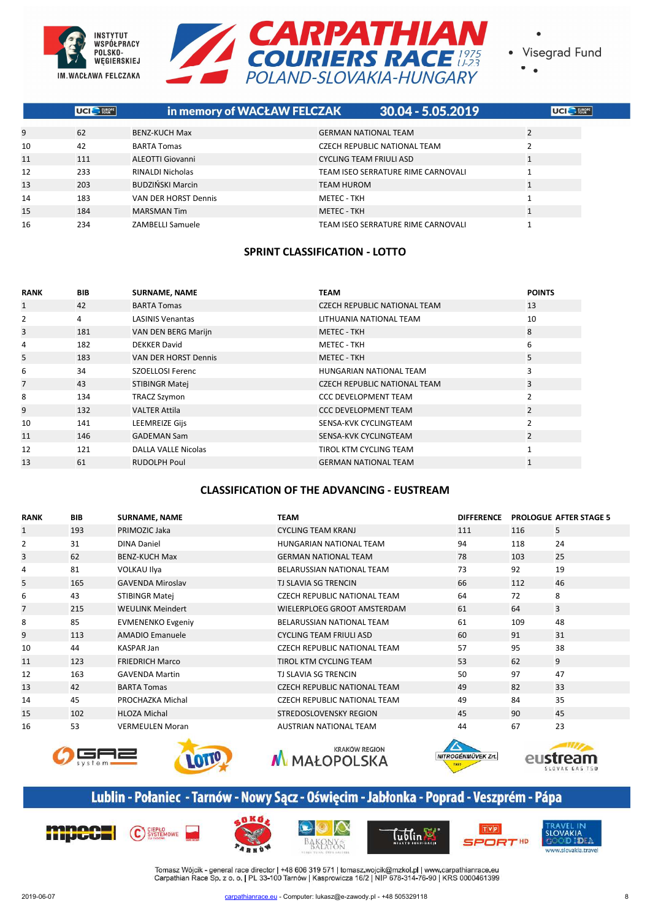



 $\bullet$ 

|    | <b>UCI BUSINE</b> | in memory of WACŁAW FELCZAK |                                | $30.04 - 5.05.2019$                | UCI <sup>S</sup> FURCIPE |
|----|-------------------|-----------------------------|--------------------------------|------------------------------------|--------------------------|
| 9  | 62                | <b>BENZ-KUCH Max</b>        | <b>GERMAN NATIONAL TEAM</b>    |                                    |                          |
| 10 | 42                | <b>BARTA Tomas</b>          |                                | CZECH REPUBLIC NATIONAL TEAM       |                          |
| 11 | 111               | <b>ALEOTTI Giovanni</b>     | <b>CYCLING TEAM FRIULI ASD</b> |                                    |                          |
| 12 | 233               | <b>RINALDI Nicholas</b>     |                                | TEAM ISEO SERRATURE RIME CARNOVALI |                          |
| 13 | 203               | BUDZIŃSKI Marcin            | <b>TEAM HUROM</b>              |                                    |                          |
| 14 | 183               | VAN DER HORST Dennis        | METEC - TKH                    |                                    |                          |
| 15 | 184               | <b>MARSMAN Tim</b>          | <b>METEC - TKH</b>             |                                    |                          |
| 16 | 234               | <b>ZAMBELLI Samuele</b>     |                                | TEAM ISEO SERRATURE RIME CARNOVALI |                          |

#### **SPRINT CLASSIFICATION - LOTTO**

| <b>RANK</b>    | <b>BIB</b> | <b>SURNAME, NAME</b>    | <b>TEAM</b>                         | <b>POINTS</b>  |
|----------------|------------|-------------------------|-------------------------------------|----------------|
| $\mathbf{1}$   | 42         | <b>BARTA Tomas</b>      | <b>CZECH REPUBLIC NATIONAL TEAM</b> | 13             |
| $\overline{2}$ | 4          | <b>LASINIS Venantas</b> | LITHUANIA NATIONAL TEAM             | 10             |
| 3              | 181        | VAN DEN BERG Marijn     | <b>METEC - TKH</b>                  | 8              |
| 4              | 182        | <b>DEKKER David</b>     | METEC - TKH                         | 6              |
| 5              | 183        | VAN DER HORST Dennis    | <b>METEC - TKH</b>                  | 5              |
| 6              | 34         | SZOELLOSI Ferenc        | HUNGARIAN NATIONAL TEAM             | 3              |
| 7              | 43         | STIBINGR Matej          | <b>CZECH REPUBLIC NATIONAL TEAM</b> | 3              |
| 8              | 134        | <b>TRACZ Szymon</b>     | <b>CCC DEVELOPMENT TEAM</b>         | $\overline{2}$ |
| 9              | 132        | <b>VALTER Attila</b>    | <b>CCC DEVELOPMENT TEAM</b>         | $\overline{2}$ |
| 10             | 141        | <b>LEEMREIZE Gijs</b>   | SENSA-KVK CYCLINGTEAM               | $\overline{2}$ |
| 11             | 146        | <b>GADEMAN Sam</b>      | SENSA-KVK CYCLINGTEAM               | $\overline{2}$ |
| 12             | 121        | DALLA VALLE Nicolas     | TIROL KTM CYCLING TEAM              | 1              |
| 13             | 61         | <b>RUDOLPH Poul</b>     | <b>GERMAN NATIONAL TEAM</b>         |                |

#### **CLASSIFICATION OF THE ADVANCING - EUSTREAM**

| <b>RANK</b>    | <b>BIB</b> | <b>SURNAME, NAME</b>     | <b>TEAM</b>                         | <b>DIFFERENCE</b> |     | <b>PROLOGUE AFTER STAGE 5</b> |
|----------------|------------|--------------------------|-------------------------------------|-------------------|-----|-------------------------------|
| $\mathbf{1}$   | 193        | PRIMOZIC Jaka            | <b>CYCLING TEAM KRANJ</b>           | 111               | 116 | 5                             |
| $\overline{2}$ | 31         | <b>DINA Daniel</b>       | HUNGARIAN NATIONAL TEAM             | 94                | 118 | 24                            |
| 3              | 62         | <b>BENZ-KUCH Max</b>     | <b>GERMAN NATIONAL TEAM</b>         | 78                | 103 | 25                            |
| 4              | 81         | <b>VOLKAU Ilya</b>       | BELARUSSIAN NATIONAL TEAM           | 73                | 92  | 19                            |
| 5              | 165        | <b>GAVENDA Miroslav</b>  | TJ SLAVIA SG TRENCIN                | 66                | 112 | 46                            |
| 6              | 43         | <b>STIBINGR Matei</b>    | <b>CZECH REPUBLIC NATIONAL TEAM</b> | 64                | 72  | 8                             |
| $\overline{7}$ | 215        | <b>WEULINK Meindert</b>  | WIELERPLOEG GROOT AMSTERDAM         | 61                | 64  | 3                             |
| 8              | 85         | <b>EVMENENKO Evgeniy</b> | BELARUSSIAN NATIONAL TEAM           | 61                | 109 | 48                            |
| 9              | 113        | <b>AMADIO Emanuele</b>   | <b>CYCLING TEAM FRIULI ASD</b>      | 60                | 91  | 31                            |
| 10             | 44         | KASPAR Jan               | <b>CZECH REPUBLIC NATIONAL TEAM</b> | 57                | 95  | 38                            |
| 11             | 123        | <b>FRIEDRICH Marco</b>   | TIROL KTM CYCLING TEAM              | 53                | 62  | 9                             |
| 12             | 163        | <b>GAVENDA Martin</b>    | TJ SLAVIA SG TRENCIN                | 50                | 97  | 47                            |
| 13             | 42         | <b>BARTA Tomas</b>       | <b>CZECH REPUBLIC NATIONAL TEAM</b> | 49                | 82  | 33                            |
| 14             | 45         | PROCHAZKA Michal         | <b>CZECH REPUBLIC NATIONAL TEAM</b> | 49                | 84  | 35                            |
| 15             | 102        | <b>HLOZA Michal</b>      | STREDOSLOVENSKY REGION              | 45                | 90  | 45                            |
| 16             | 53         | <b>VERMEULEN Moran</b>   | AUSTRIAN NATIONAL TEAM              | 44                | 67  | 23                            |
|                |            | <b>TALLS</b>             |                                     |                   |     |                               |











## Lublin - Połaniec - Tarnów - Nowy Sącz - Oświęcim - Jabłonka - Poprad - Veszprém - Pápa











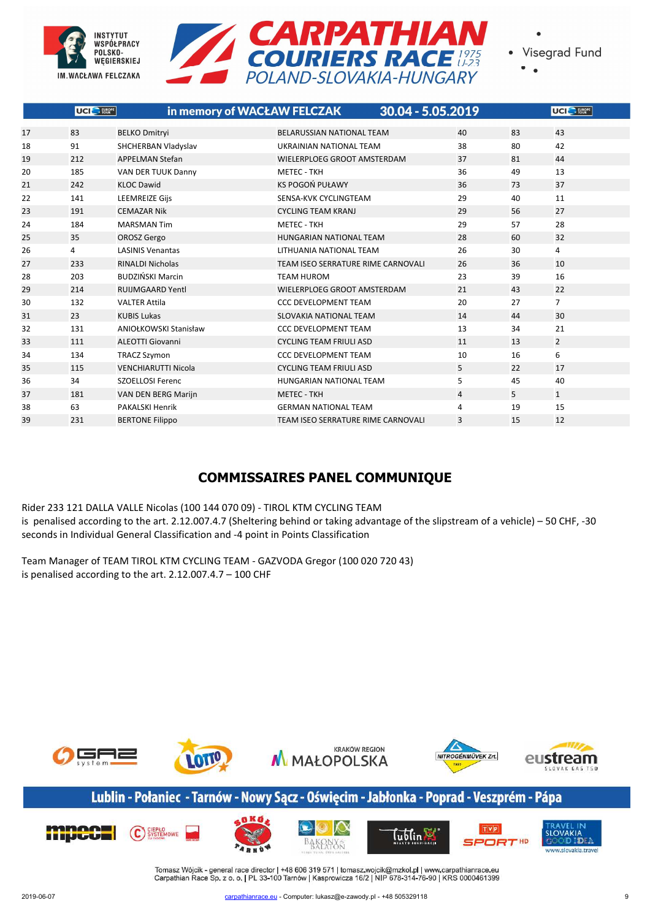



|    | UCI <sup>O</sup> FURPE | in memory of WACŁAW FELCZAK  |                                    | 30.04 - 5.05.2019 |    |    | UCI <sup>O</sup> FURPE |
|----|------------------------|------------------------------|------------------------------------|-------------------|----|----|------------------------|
| 17 | 83                     | <b>BELKO Dmitryi</b>         | <b>BELARUSSIAN NATIONAL TEAM</b>   |                   | 40 | 83 | 43                     |
| 18 | 91                     | SHCHERBAN Vladyslav          | UKRAINIAN NATIONAL TEAM            |                   | 38 | 80 | 42                     |
| 19 | 212                    | <b>APPELMAN Stefan</b>       | <b>WIELERPLOEG GROOT AMSTERDAM</b> |                   | 37 | 81 | 44                     |
| 20 | 185                    | VAN DER TUUK Danny           | <b>METEC - TKH</b>                 |                   | 36 | 49 | 13                     |
| 21 | 242                    | <b>KLOC Dawid</b>            | <b>KS POGOŃ PUŁAWY</b>             |                   | 36 | 73 | 37                     |
| 22 | 141                    | <b>LEEMREIZE Gijs</b>        | SENSA-KVK CYCLINGTEAM              |                   | 29 | 40 | 11                     |
| 23 | 191                    | <b>CEMAZAR Nik</b>           | <b>CYCLING TEAM KRANJ</b>          |                   | 29 | 56 | 27                     |
| 24 | 184                    | <b>MARSMAN Tim</b>           | <b>METEC - TKH</b>                 |                   | 29 | 57 | 28                     |
| 25 | 35                     | OROSZ Gergo                  | HUNGARIAN NATIONAL TEAM            |                   | 28 | 60 | 32                     |
| 26 | 4                      | <b>LASINIS Venantas</b>      | LITHUANIA NATIONAL TEAM            |                   | 26 | 30 | 4                      |
| 27 | 233                    | <b>RINALDI Nicholas</b>      | TEAM ISEO SERRATURE RIME CARNOVALI |                   | 26 | 36 | 10                     |
| 28 | 203                    | <b>BUDZIŃSKI Marcin</b>      | <b>TEAM HUROM</b>                  |                   | 23 | 39 | 16                     |
| 29 | 214                    | <b>RUIJMGAARD Yentl</b>      | <b>WIELERPLOEG GROOT AMSTERDAM</b> |                   | 21 | 43 | 22                     |
| 30 | 132                    | <b>VALTER Attila</b>         | <b>CCC DEVELOPMENT TEAM</b>        |                   | 20 | 27 | $\overline{7}$         |
| 31 | 23                     | <b>KUBIS Lukas</b>           | SLOVAKIA NATIONAL TEAM             |                   | 14 | 44 | 30                     |
| 32 | 131                    | <b>ANIOŁKOWSKI Stanisław</b> | <b>CCC DEVELOPMENT TEAM</b>        |                   | 13 | 34 | 21                     |
| 33 | 111                    | <b>ALEOTTI Giovanni</b>      | <b>CYCLING TEAM FRIULI ASD</b>     |                   | 11 | 13 | $\overline{2}$         |
| 34 | 134                    | <b>TRACZ Szymon</b>          | <b>CCC DEVELOPMENT TEAM</b>        |                   | 10 | 16 | 6                      |
| 35 | 115                    | <b>VENCHIARUTTI Nicola</b>   | <b>CYCLING TEAM FRIULI ASD</b>     |                   | 5  | 22 | 17                     |
| 36 | 34                     | <b>SZOELLOSI Ferenc</b>      | HUNGARIAN NATIONAL TEAM            |                   | 5  | 45 | 40                     |
| 37 | 181                    | VAN DEN BERG Marijn          | <b>METEC - TKH</b>                 |                   | 4  | 5  | $\mathbf{1}$           |
| 38 | 63                     | <b>PAKALSKI Henrik</b>       | <b>GERMAN NATIONAL TEAM</b>        |                   | 4  | 19 | 15                     |
| 39 | 231                    | <b>BERTONE Filippo</b>       | TEAM ISEO SERRATURE RIME CARNOVALI |                   | 3  | 15 | 12                     |

## **COMMISSAIRES PANEL COMMUNIQUE**

Rider 233 121 DALLA VALLE Nicolas (100 144 070 09) - TIROL KTM CYCLING TEAM is penalised according to the art. 2.12.007.4.7 (Sheltering behind or taking advantage of the slipstream of a vehicle) – 50 CHF, -30 seconds in Individual General Classification and -4 point in Points Classification

Team Manager of TEAM TIROL KTM CYCLING TEAM - GAZVODA Gregor (100 020 720 43) is penalised according to the art. 2.12.007.4.7 – 100 CHF



## Lublin - Połaniec - Tarnów - Nowy Sącz - Oświęcim - Jabłonka - Poprad - Veszprém - Pápa

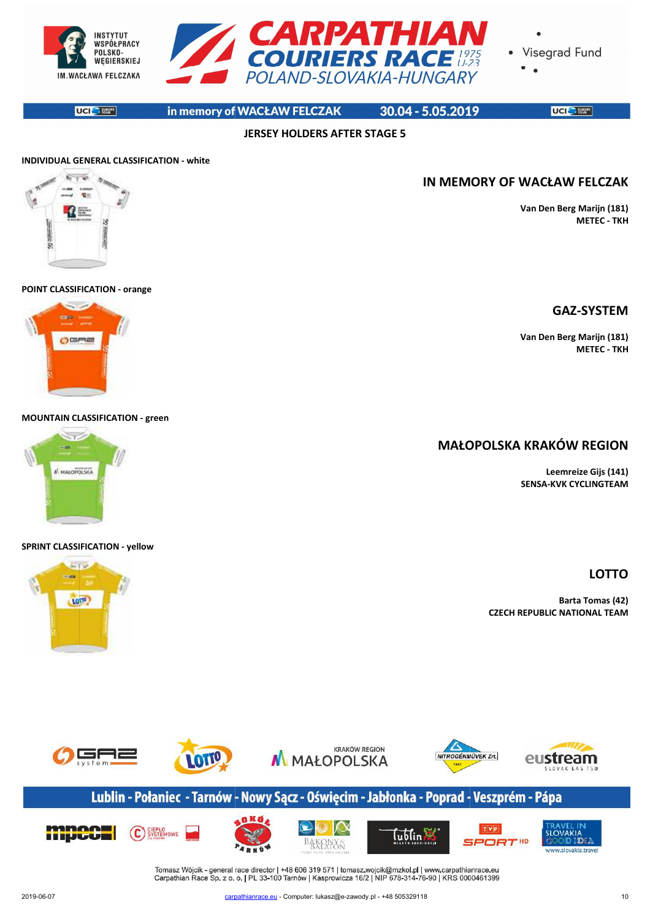

**JERSEY HOLDERS AFTER STAGE 5**

**UCI** BERRE

**INSTYTUT** 

POLSKO-

in memory of WACŁAW FELCZAK 30.04 - 5.05.2019 UCI<sup>C</sup> FUSER<sup></sup>

#### **INDIVIDUAL GENERAL CLASSIFICATION - white**



#### **POINT CLASSIFICATION - orange**



**MOUNTAIN CLASSIFICATION - green**



#### **SPRINT CLASSIFICATION - yellow**

# **Fire Co** تمالا LOTIO

#### **IN MEMORY OF WACŁAW FELCZAK**

**Van Den Berg Marijn (181) METEC - TKH**

**GAZ-SYSTEM**

**Van Den Berg Marijn (181) METEC - TKH**

#### **MAŁOPOLSKA KRAKÓW REG REGION**

**Leemreize Gijs (141) SENSA-KVK CYCLINGTEAM**

#### **LOTTO**

**Barta Tomas (42) CZECH REPUBLIC NATIONAL TEAM**



## Lublin - Połaniec - Tarnów - Nowy Sącz - Oświęcim - Jabłonka - Poprad - Veszprém - Pápa